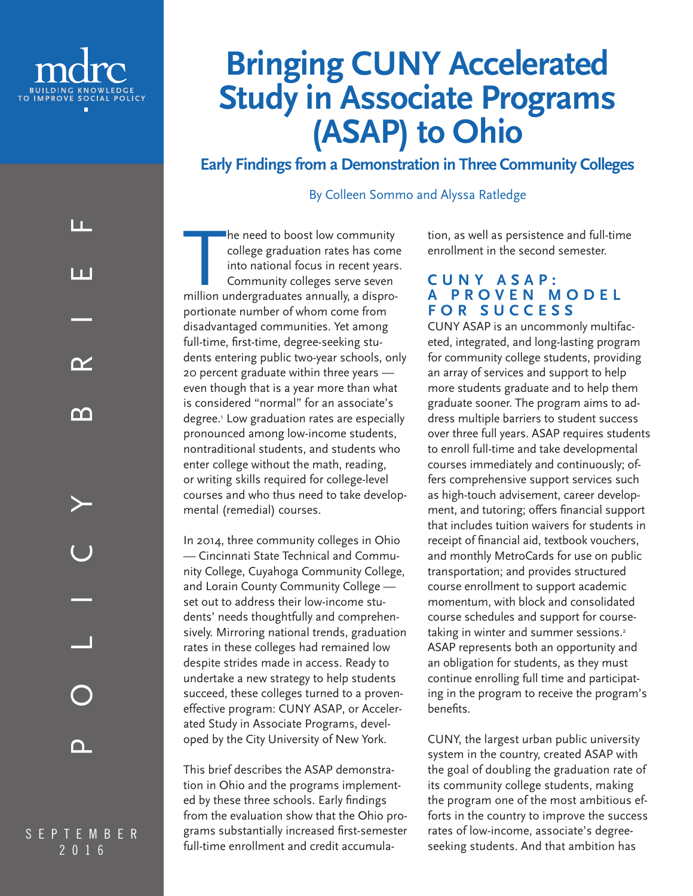

ட

Ш

 $\boldsymbol{\gamma}$ 

m

# **Bringing CUNY Accelerated Study in Associate Programs (ASAP) to Ohio**

**Early Findings from a Demonstration in Three Community Colleges**

By Colleen Sommo and Alyssa Ratledge

The need to boost low community<br>
college graduation rates has come<br>
into national focus in recent years<br>
Community colleges serve seven<br>
million undergraduates annually, a disprohe need to boost low community college graduation rates has come into national focus in recent years. Community colleges serve seven portionate number of whom come from disadvantaged communities. Yet among full-time, first-time, degree-seeking students entering public two-year schools, only 20 percent graduate within three years even though that is a year more than what is considered "normal" for an associate's degree.1 Low graduation rates are especially pronounced among low-income students, nontraditional students, and students who enter college without the math, reading, or writing skills required for college-level courses and who thus need to take developmental (remedial) courses.

In 2014, three community colleges in Ohio — Cincinnati State Technical and Community College, Cuyahoga Community College, and Lorain County Community College set out to address their low-income students' needs thoughtfully and comprehensively. Mirroring national trends, graduation rates in these colleges had remained low despite strides made in access. Ready to undertake a new strategy to help students succeed, these colleges turned to a proveneffective program: CUNY ASAP, or Accelerated Study in Associate Programs, developed by the City University of New York.

This brief describes the ASAP demonstration in Ohio and the programs implemented by these three schools. Early findings from the evaluation show that the Ohio programs substantially increased first-semester full-time enrollment and credit accumula-

tion, as well as persistence and full-time enrollment in the second semester.

## **C U N Y A S A P : PROVEN MODEL FOR SUCCESS**

CUNY ASAP is an uncommonly multifaceted, integrated, and long-lasting program for community college students, providing an array of services and support to help more students graduate and to help them graduate sooner. The program aims to address multiple barriers to student success over three full years. ASAP requires students to enroll full-time and take developmental courses immediately and continuously; offers comprehensive support services such as high-touch advisement, career development, and tutoring; offers financial support that includes tuition waivers for students in receipt of financial aid, textbook vouchers, and monthly MetroCards for use on public transportation; and provides structured course enrollment to support academic momentum, with block and consolidated course schedules and support for coursetaking in winter and summer sessions.<sup>2</sup> ASAP represents both an opportunity and an obligation for students, as they must continue enrolling full time and participating in the program to receive the program's benefits.

CUNY, the largest urban public university system in the country, created ASAP with the goal of doubling the graduation rate of its community college students, making the program one of the most ambitious efforts in the country to improve the success rates of low-income, associate's degreeseeking students. And that ambition has

SEPTEMBER 2016

n.

POLICY BRIEF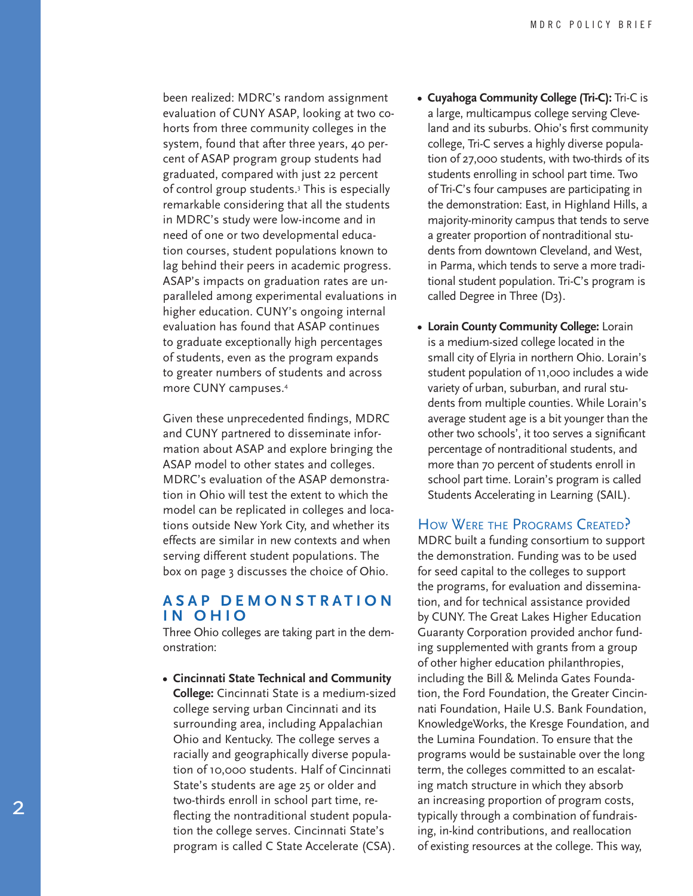been realized: MDRC's random assignment evaluation of CUNY ASAP, looking at two co horts from three community colleges in the system, found that after three years, 40 per cent of ASAP program group students had graduated, compared with just 22 percent of control group students. 3 This is especially remarkable considering that all the students in MDRC's study were low-income and in need of one or two developmental educa tion courses, student populations known to lag behind their peers in academic progress. ASAP's impacts on graduation rates are un paralleled among experimental evaluations in higher education. CUNY's ongoing internal evaluation has found that ASAP continues to graduate exceptionally high percentages of students, even as the program expands to greater numbers of students and across more CUNY campuses. 4

Given these unprecedented findings, MDRC and CUNY partnered to disseminate infor mation about ASAP and explore bringing the ASAP model to other states and colleges. MDRC's evaluation of the ASAP demonstra tion in Ohio will test the extent to which the model can be replicated in colleges and loca tions outside New York City, and whether its effects are similar in new contexts and when serving different student populations. The box on page 3 discusses the choice of Ohio.

#### **A S A P D E M O N S T R A T I O N IN OHIO**

Three Ohio colleges are taking part in the dem onstration:

**• Cincinnati State Technical and Community College:** Cincinnati State is a medium-sized college serving urban Cincinnati and its surrounding area, including Appalachian Ohio and Kentucky. The college serves a racially and geographically diverse popula tion of 10,000 students. Half of Cincinnati State's students are age 25 or older and two-thirds enroll in school part time, re flecting the nontraditional student popula tion the college serves. Cincinnati State's program is called C State Accelerate (CSA).

- **• Cuyahoga Community College (Tri-C):** Tri-C is a large, multicampus college serving Cleve land and its suburbs. Ohio's first community college, Tri-C serves a highly diverse popula tion of 27,000 students, with two-thirds of its students enrolling in school part time. Two of Tri-C's four campuses are participating in the demonstration: East, in Highland Hills, a majority-minority campus that tends to serve a greater proportion of nontraditional stu dents from downtown Cleveland, and West, in Parma, which tends to serve a more tradi tional student population. Tri-C's program is called Degree in Three (D3).
- **• Lorain County Community College:** Lorain is a medium-sized college located in the small city of Elyria in northern Ohio. Lorain's student population of 11,000 includes a wide variety of urban, suburban, and rural stu dents from multiple counties. While Lorain's average student age is a bit younger than the other two schools', it too serves a significant percentage of nontraditional students, and more than 70 percent of students enroll in school part time. Lorain's program is called Students Accelerating in Learning (SAIL).

#### HOW WERE THE PROGRAMS CREATED?

MDRC built a funding consortium to support the demonstration. Funding was to be used for seed capital to the colleges to support the programs, for evaluation and dissemina tion, and for technical assistance provided by CUNY. The Great Lakes Higher Education Guaranty Corporation provided anchor fund ing supplemented with grants from a group of other higher education philanthropies, including the Bill & Melinda Gates Founda tion, the Ford Foundation, the Greater Cincin nati Foundation, Haile U.S. Bank Foundation, KnowledgeWorks, the Kresge Foundation, and the Lumina Foundation. To ensure that the programs would be sustainable over the long term, the colleges committed to an escalat ing match structure in which they absorb an increasing proportion of program costs, typically through a combination of fundrais ing, in-kind contributions, and reallocation of existing resources at the college. This way,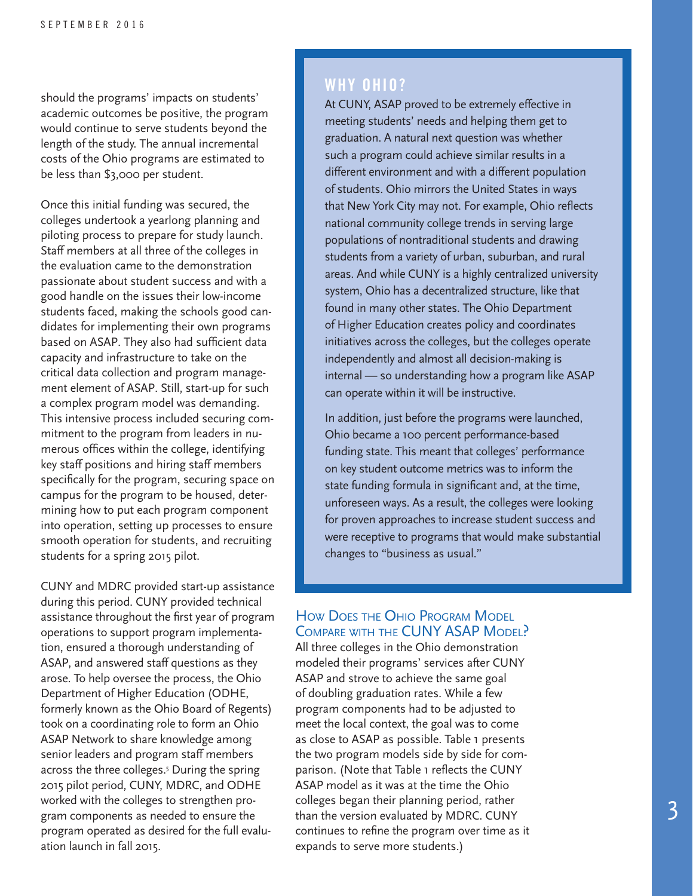should the programs' impacts on students' academic outcomes be positive, the program would continue to serve students beyond the length of the study. The annual incremental costs of the Ohio programs are estimated to be less than \$3,000 per student.

Once this initial funding was secured, the colleges undertook a yearlong planning and piloting process to prepare for study launch. Staff members at all three of the colleges in the evaluation came to the demonstration passionate about student success and with a good handle on the issues their low-income students faced, making the schools good candidates for implementing their own programs based on ASAP. They also had sufficient data capacity and infrastructure to take on the critical data collection and program management element of ASAP. Still, start-up for such a complex program model was demanding. This intensive process included securing commitment to the program from leaders in numerous offices within the college, identifying key staff positions and hiring staff members specifically for the program, securing space on campus for the program to be housed, determining how to put each program component into operation, setting up processes to ensure smooth operation for students, and recruiting students for a spring 2015 pilot.

CUNY and MDRC provided start-up assistance during this period. CUNY provided technical assistance throughout the first year of program operations to support program implementation, ensured a thorough understanding of ASAP, and answered staff questions as they arose. To help oversee the process, the Ohio Department of Higher Education (ODHE, formerly known as the Ohio Board of Regents) took on a coordinating role to form an Ohio ASAP Network to share knowledge among senior leaders and program staff members across the three colleges.5 During the spring 2015 pilot period, CUNY, MDRC, and ODHE worked with the colleges to strengthen program components as needed to ensure the program operated as desired for the full evaluation launch in fall 2015.

## **WHY OHIO?**

At CUNY, ASAP proved to be extremely effective in meeting students' needs and helping them get to graduation. A natural next question was whether such a program could achieve similar results in a different environment and with a different population of students. Ohio mirrors the United States in ways that New York City may not. For example, Ohio reflects national community college trends in serving large populations of nontraditional students and drawing students from a variety of urban, suburban, and rural areas. And while CUNY is a highly centralized university system, Ohio has a decentralized structure, like that found in many other states. The Ohio Department of Higher Education creates policy and coordinates initiatives across the colleges, but the colleges operate independently and almost all decision-making is internal — so understanding how a program like ASAP can operate within it will be instructive.

In addition, just before the programs were launched, Ohio became a 100 percent performance-based funding state. This meant that colleges' performance on key student outcome metrics was to inform the state funding formula in significant and, at the time, unforeseen ways. As a result, the colleges were looking for proven approaches to increase student success and were receptive to programs that would make substantial changes to "business as usual."

#### How Does the Ohio Program Model COMPARE WITH THE CUNY ASAP MODEL?

All three colleges in the Ohio demonstration modeled their programs' services after CUNY ASAP and strove to achieve the same goal of doubling graduation rates. While a few program components had to be adjusted to meet the local context, the goal was to come as close to ASAP as possible. Table 1 presents the two program models side by side for comparison. (Note that Table 1 reflects the CUNY ASAP model as it was at the time the Ohio colleges began their planning period, rather than the version evaluated by MDRC. CUNY continues to refine the program over time as it expands to serve more students.)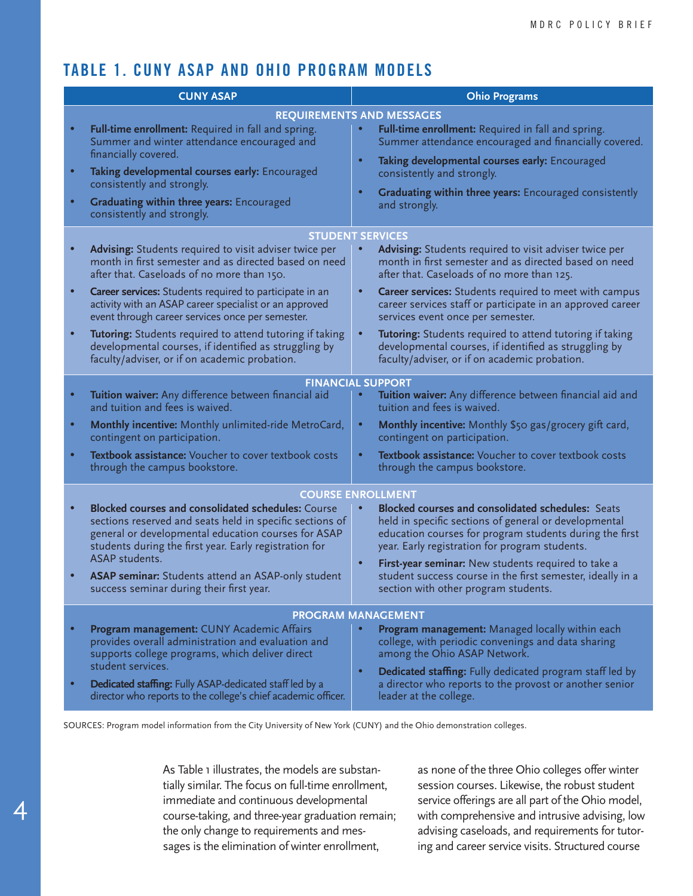# **TABLE 1. CUNY ASAP AND OHIO PROGRAM MODELS**

| <b>CUNY ASAP</b>       |                                                                                                                                                                                                                                                                                                                                                                                                                                                                                                              | <b>Ohio Programs</b>                                                                                                                                                                                                                                                                                                                                                                                                                                                                                                                            |  |  |
|------------------------|--------------------------------------------------------------------------------------------------------------------------------------------------------------------------------------------------------------------------------------------------------------------------------------------------------------------------------------------------------------------------------------------------------------------------------------------------------------------------------------------------------------|-------------------------------------------------------------------------------------------------------------------------------------------------------------------------------------------------------------------------------------------------------------------------------------------------------------------------------------------------------------------------------------------------------------------------------------------------------------------------------------------------------------------------------------------------|--|--|
| $\bullet$<br>$\bullet$ | Full-time enrollment: Required in fall and spring.<br>Summer and winter attendance encouraged and<br>financially covered.<br>Taking developmental courses early: Encouraged<br>consistently and strongly.<br>Graduating within three years: Encouraged<br>consistently and strongly.                                                                                                                                                                                                                         | <b>REQUIREMENTS AND MESSAGES</b><br>Full-time enrollment: Required in fall and spring.<br>Summer attendance encouraged and financially covered.<br>$\bullet$<br>Taking developmental courses early: Encouraged<br>consistently and strongly.<br>Graduating within three years: Encouraged consistently<br>$\bullet$<br>and strongly.                                                                                                                                                                                                            |  |  |
| $\bullet$              | Advising: Students required to visit adviser twice per<br>month in first semester and as directed based on need<br>after that. Caseloads of no more than 150.<br>Career services: Students required to participate in an<br>activity with an ASAP career specialist or an approved<br>event through career services once per semester.<br>Tutoring: Students required to attend tutoring if taking<br>developmental courses, if identified as struggling by<br>faculty/adviser, or if on academic probation. | <b>STUDENT SERVICES</b><br>Advising: Students required to visit adviser twice per<br>month in first semester and as directed based on need<br>after that. Caseloads of no more than 125.<br><b>Career services:</b> Students required to meet with campus<br>$\bullet$<br>career services staff or participate in an approved career<br>services event once per semester.<br>Tutoring: Students required to attend tutoring if taking<br>developmental courses, if identified as struggling by<br>faculty/adviser, or if on academic probation. |  |  |
| $\bullet$              | Tuition waiver: Any difference between financial aid<br>and tuition and fees is waived.<br>Monthly incentive: Monthly unlimited-ride MetroCard,<br>contingent on participation.<br>Textbook assistance: Voucher to cover textbook costs<br>through the campus bookstore.                                                                                                                                                                                                                                     | <b>FINANCIAL SUPPORT</b><br>Tuition waiver: Any difference between financial aid and<br>tuition and fees is waived.<br>Monthly incentive: Monthly \$50 gas/grocery gift card,<br>$\bullet$<br>contingent on participation.<br>Textbook assistance: Voucher to cover textbook costs<br>$\bullet$<br>through the campus bookstore.                                                                                                                                                                                                                |  |  |
|                        | <b>Blocked courses and consolidated schedules: Course</b><br>sections reserved and seats held in specific sections of<br>general or developmental education courses for ASAP<br>students during the first year. Early registration for<br>ASAP students.<br>ASAP seminar: Students attend an ASAP-only student<br>success seminar during their first year.                                                                                                                                                   | <b>COURSE ENROLLMENT</b><br><b>Blocked courses and consolidated schedules: Seats</b><br>held in specific sections of general or developmental<br>education courses for program students during the first<br>year. Early registration for program students.<br>$\bullet$<br>First-year seminar: New students required to take a<br>student success course in the first semester, ideally in a<br>section with other program students.                                                                                                            |  |  |
|                        | Program management: CUNY Academic Affairs<br>provides overall administration and evaluation and<br>supports college programs, which deliver direct<br>student services.<br>Dedicated staffing: Fully ASAP-dedicated staff led by a<br>director who reports to the college's chief academic officer.                                                                                                                                                                                                          | PROGRAM MANAGEMENT<br><b>Program management:</b> Managed locally within each<br>college, with periodic convenings and data sharing<br>among the Ohio ASAP Network.<br>Dedicated staffing: Fully dedicated program staff led by<br>$\bullet$<br>a director who reports to the provost or another senior<br>leader at the college.                                                                                                                                                                                                                |  |  |

SOURCES: Program model information from the City University of New York (CUNY) and the Ohio demonstration colleges.

As Table 1 illustrates, the models are substantially similar. The focus on full-time enrollment, immediate and continuous developmental course-taking, and three-year graduation remain; the only change to requirements and messages is the elimination of winter enrollment,

4

as none of the three Ohio colleges offer winter session courses. Likewise, the robust student service offerings are all part of the Ohio model, with comprehensive and intrusive advising, low advising caseloads, and requirements for tutoring and career service visits. Structured course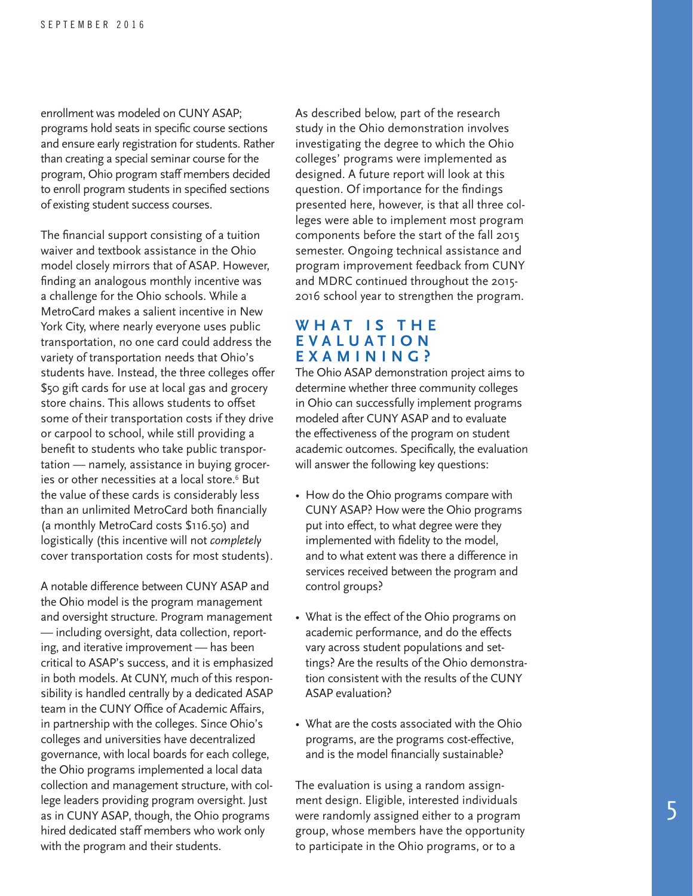enrollment was modeled on CUNY ASAP; programs hold seats in specific course sections and ensure early registration for students. Rather than creating a special seminar course for the program, Ohio program staff members decided to enroll program students in specified sections of existing student success courses.

The financial support consisting of a tuition waiver and textbook assistance in the Ohio model closely mirrors that of ASAP. However, finding an analogous monthly incentive was a challenge for the Ohio schools. While a MetroCard makes a salient incentive in New York City, where nearly everyone uses public transportation, no one card could address the variety of transportation needs that Ohio's students have. Instead, the three colleges offer \$50 gift cards for use at local gas and grocery store chains. This allows students to offset some of their transportation costs if they drive or carpool to school, while still providing a benefit to students who take public transportation — namely, assistance in buying groceries or other necessities at a local store.<sup>6</sup> But the value of these cards is considerably less than an unlimited MetroCard both financially (a monthly MetroCard costs \$116.50) and logistically (this incentive will not *completely* cover transportation costs for most students).

A notable difference between CUNY ASAP and the Ohio model is the program management and oversight structure. Program management — including oversight, data collection, reporting, and iterative improvement — has been critical to ASAP's success, and it is emphasized in both models. At CUNY, much of this responsibility is handled centrally by a dedicated ASAP team in the CUNY Office of Academic Affairs, in partnership with the colleges. Since Ohio's colleges and universities have decentralized governance, with local boards for each college, the Ohio programs implemented a local data collection and management structure, with college leaders providing program oversight. Just as in CUNY ASAP, though, the Ohio programs hired dedicated staff members who work only with the program and their students.

As described below, part of the research study in the Ohio demonstration involves investigating the degree to which the Ohio colleges' programs were implemented as designed. A future report will look at this question. Of importance for the findings presented here, however, is that all three colleges were able to implement most program components before the start of the fall 2015 semester. Ongoing technical assistance and program improvement feedback from CUNY and MDRC continued throughout the 2015- 2016 school year to strengthen the program.

#### **W H A T I S T H E E V A L U A T I O N EXAMINING?**

The Ohio ASAP demonstration project aims to determine whether three community colleges in Ohio can successfully implement programs modeled after CUNY ASAP and to evaluate the effectiveness of the program on student academic outcomes. Specifically, the evaluation will answer the following key questions:

- How do the Ohio programs compare with CUNY ASAP? How were the Ohio programs put into effect, to what degree were they implemented with fidelity to the model, and to what extent was there a difference in services received between the program and control groups?
- What is the effect of the Ohio programs on academic performance, and do the effects vary across student populations and settings? Are the results of the Ohio demonstration consistent with the results of the CUNY ASAP evaluation?
- What are the costs associated with the Ohio programs, are the programs cost-effective, and is the model financially sustainable?

The evaluation is using a random assignment design. Eligible, interested individuals were randomly assigned either to a program group, whose members have the opportunity to participate in the Ohio programs, or to a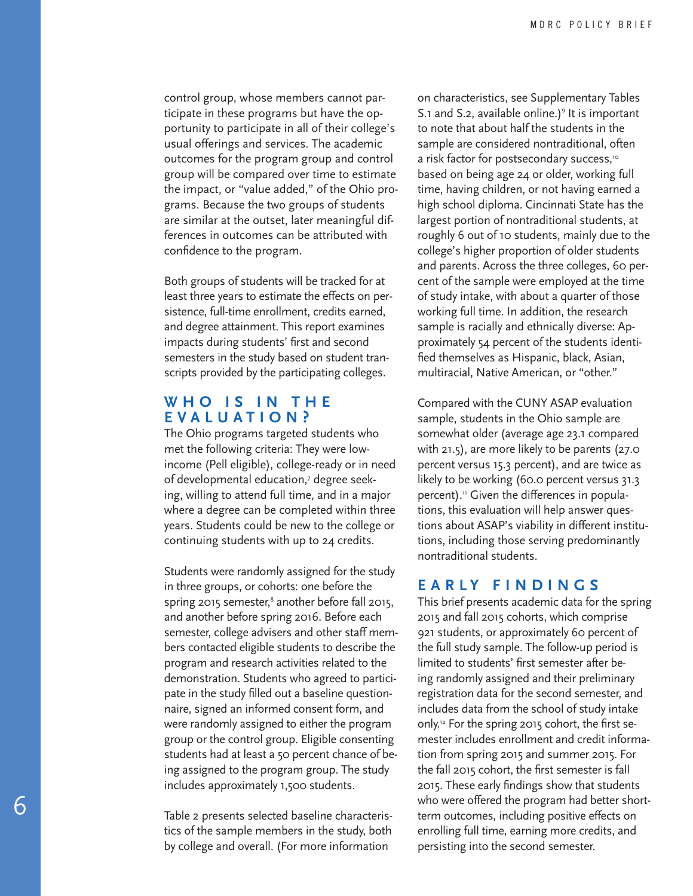control group, whose members cannot participate in these programs but have the opportunity to participate in all of their college's usual offerings and services. The academic outcomes for the program group and control group will be compared over time to estimate the impact, or "value added," of the Ohio programs. Because the two groups of students are similar at the outset, later meaningful differences in outcomes can be attributed with confidence to the program.

Both groups of students will be tracked for at least three years to estimate the effects on persistence, full-time enrollment, credits earned, and degree attainment. This report examines impacts during students' first and second semesters in the study based on student transcripts provided by the participating colleges.

#### **W H O I S I N T H E EVALUATION?**

The Ohio programs targeted students who met the following criteria: They were lowincome (Pell eligible), college-ready or in need of developmental education,<sup>7</sup> degree seeking, willing to attend full time, and in a major where a degree can be completed within three years. Students could be new to the college or continuing students with up to 24 credits.

Students were randomly assigned for the study in three groups, or cohorts: one before the spring 2015 semester,<sup>8</sup> another before fall 2015, and another before spring 2016. Before each semester, college advisers and other staff members contacted eligible students to describe the program and research activities related to the demonstration. Students who agreed to participate in the study filled out a baseline questionnaire, signed an informed consent form, and were randomly assigned to either the program group or the control group. Eligible consenting students had at least a 50 percent chance of being assigned to the program group. The study includes approximately 1,500 students.

Table 2 presents selected baseline characteristics of the sample members in the study, both by college and overall. (For more information

on characteristics, see Supplementary Tables S.1 and S.2, available online.)<sup>9</sup> It is important to note that about half the students in the sample are considered nontraditional, often a risk factor for postsecondary success,<sup>10</sup> based on being age 24 or older, working full time, having children, or not having earned a high school diploma. Cincinnati State has the largest portion of nontraditional students, at roughly 6 out of 10 students, mainly due to the college's higher proportion of older students and parents. Across the three colleges, 60 percent of the sample were employed at the time of study intake, with about a quarter of those working full time. In addition, the research sample is racially and ethnically diverse: Approximately 54 percent of the students identified themselves as Hispanic, black, Asian, multiracial, Native American, or "other."

Compared with the CUNY ASAP evaluation sample, students in the Ohio sample are somewhat older (average age 23.1 compared with 21.5), are more likely to be parents (27.0 percent versus 15.3 percent), and are twice as likely to be working (60.0 percent versus 31.3 percent).<sup>11</sup> Given the differences in populations, this evaluation will help answer questions about ASAP's viability in different institutions, including those serving predominantly nontraditional students.

#### **EARLY FINDINGS**

This brief presents academic data for the spring 2015 and fall 2015 cohorts, which comprise 921 students, or approximately 60 percent of the full study sample. The follow-up period is limited to students' first semester after being randomly assigned and their preliminary registration data for the second semester, and includes data from the school of study intake only.12 For the spring 2015 cohort, the first semester includes enrollment and credit information from spring 2015 and summer 2015. For the fall 2015 cohort, the first semester is fall 2015. These early findings show that students who were offered the program had better shortterm outcomes, including positive effects on enrolling full time, earning more credits, and persisting into the second semester.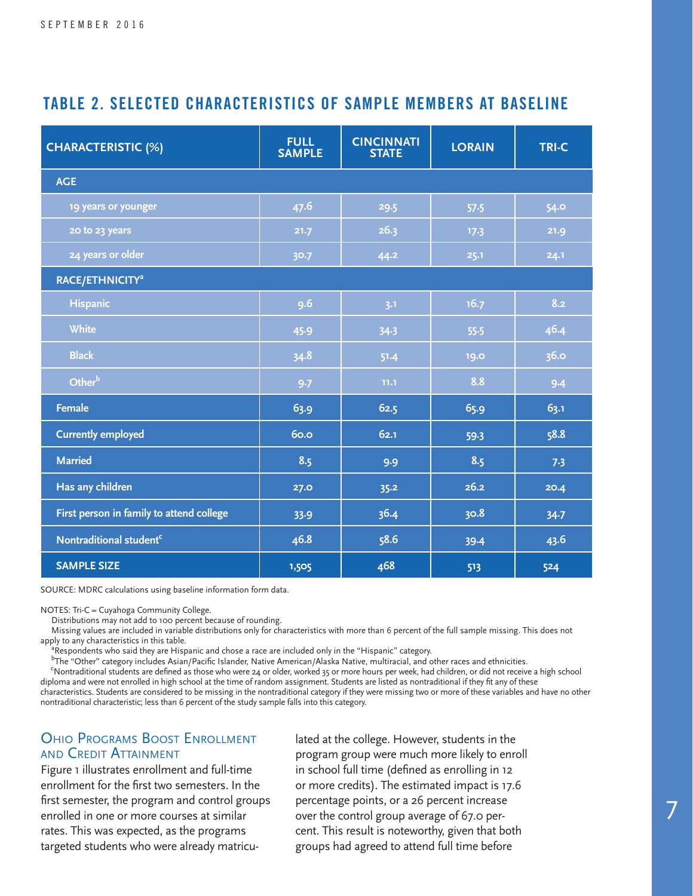# **TABLE 2. SELECTED CHARACTERISTICS OF SAMPLE MEMBERS AT BASELINE**

| <b>CHARACTERISTIC (%)</b>                | <b>FULL</b><br><b>SAMPLE</b> | <b>CINCINNATI</b><br><b>STATE</b> | <b>LORAIN</b> | <b>TRI-C</b> |  |  |
|------------------------------------------|------------------------------|-----------------------------------|---------------|--------------|--|--|
| <b>AGE</b>                               |                              |                                   |               |              |  |  |
| 19 years or younger                      | 47.6                         | 29.5                              | 57.5          | 54.0         |  |  |
| 20 to 23 years                           | 21.7                         | 26.3                              | 17.3          | 21.9         |  |  |
| 24 years or older                        | 30.7                         | 44.2                              | 25.1          | 24.1         |  |  |
| RACE/ETHNICITY <sup>a</sup>              |                              |                                   |               |              |  |  |
| <b>Hispanic</b>                          | 9.6                          | 3.1                               | 16.7          | 8.2          |  |  |
| <b>White</b>                             | 45.9                         | 34.3                              | 55.5          | 46.4         |  |  |
| <b>Black</b>                             | 34.8                         | 51.4                              | 19.0          | 36.0         |  |  |
| Otherb                                   | 9.7                          | 11.1                              | 8.8           | 9.4          |  |  |
| <b>Female</b>                            | 63.9                         | 62.5                              | 65.9          | 63.1         |  |  |
| <b>Currently employed</b>                | <b>60.0</b>                  | 62.1                              | 59.3          | 58.8         |  |  |
| <b>Married</b>                           | 8.5                          | 9.9                               | 8.5           | 7.3          |  |  |
| Has any children                         | 27.0                         | 35.2                              | 26.2          | 20.4         |  |  |
| First person in family to attend college | 33.9                         | 36.4                              | 30.8          | 34.7         |  |  |
| Nontraditional student <sup>c</sup>      | 46.8                         | 58.6                              | 39.4          | 43.6         |  |  |
| <b>SAMPLE SIZE</b>                       | 1,505                        | 468                               | 513           | 524          |  |  |

SOURCE: MDRC calculations using baseline information form data.

NOTES: Tri-C = Cuyahoga Community College.

Distributions may not add to 100 percent because of rounding.

 Missing values are included in variable distributions only for characteristics with more than 6 percent of the full sample missing. This does not apply to any characteristics in this table.<br><sup>a</sup>Respondents who said they are Hisp

Respondents who said they are Hispanic and chose a race are included only in the "Hispanic" category.

<sup>b</sup>The "Other" category includes Asian/Pacific Islander, Native American/Alaska Native, multiracial, and other races and ethnicities.

 <sup>c</sup> Nontraditional students are defined as those who were 24 or older, worked 35 or more hours per week, had children, or did not receive a high school diploma and were not enrolled in high school at the time of random assignment. Students are listed as nontraditional if they fit any of these

characteristics. Students are considered to be missing in the nontraditional category if they were missing two or more of these variables and have no other nontraditional characteristic; less than 6 percent of the study sample falls into this category.

#### Ohio Programs Boost Enrollment and Credit Attainment

Figure 1 illustrates enrollment and full-time enrollment for the first two semesters. In the first semester, the program and control groups enrolled in one or more courses at similar rates. This was expected, as the programs targeted students who were already matriculated at the college. However, students in the program group were much more likely to enroll in school full time (defined as enrolling in 12 or more credits). The estimated impact is 17.6 percentage points, or a 26 percent increase over the control group average of 67.0 percent. This result is noteworthy, given that both groups had agreed to attend full time before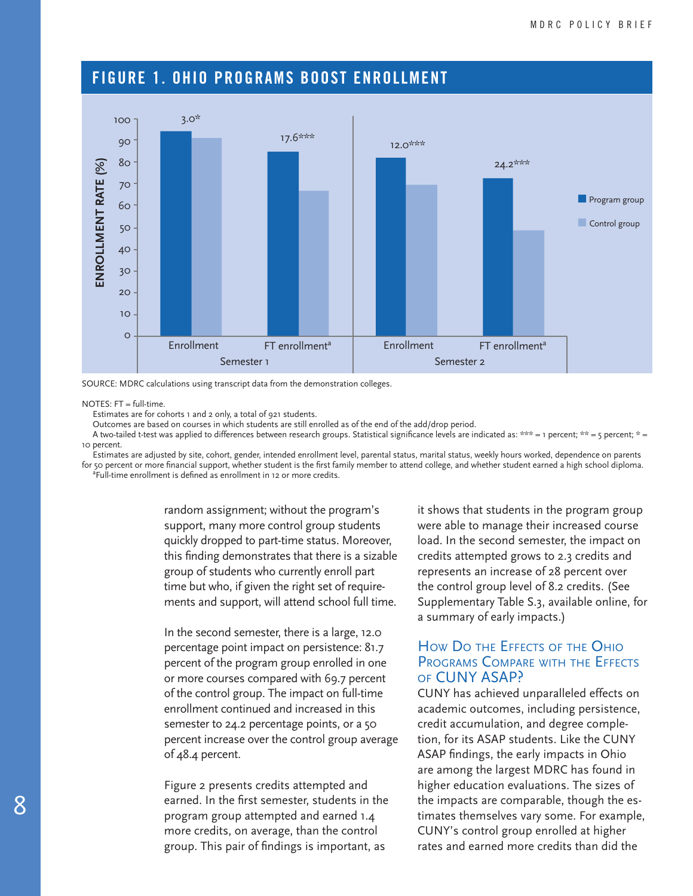# **FIGURE 1. OHIO PROGRAMS BOOST ENROLLMENT**





NOTES:  $FT = full-time$ .

Estimates are for cohorts 1 and 2 only, a total of 921 students.

Outcomes are based on courses in which students are still enrolled as of the end of the add/drop period.

A two-tailed t-test was applied to differences between research groups. Statistical significance levels are indicated as: \*\*\* = 1 percent; \*\* = 5 percent; \* = 10 percent.

 Estimates are adjusted by site, cohort, gender, intended enrollment level, parental status, marital status, weekly hours worked, dependence on parents for 50 percent or more financial support, whether student is the first family member to attend college, and whether student earned a high school diploma.

 <sup>a</sup> Full-time enrollment is defined as enrollment in 12 or more credits.

> random assignment; without the program's support, many more control group students quickly dropped to part-time status. Moreover, this finding demonstrates that there is a sizable group of students who currently enroll part time but who, if given the right set of requirements and support, will attend school full time.

> In the second semester, there is a large, 12.0 percentage point impact on persistence: 81.7 percent of the program group enrolled in one or more courses compared with 69.7 percent of the control group. The impact on full-time enrollment continued and increased in this semester to 24.2 percentage points, or a 50 percent increase over the control group average of 48.4 percent.

Figure 2 presents credits attempted and earned. In the first semester, students in the program group attempted and earned 1.4 more credits, on average, than the control group. This pair of findings is important, as

it shows that students in the program group were able to manage their increased course load. In the second semester, the impact on credits attempted grows to 2.3 credits and represents an increase of 28 percent over the control group level of 8.2 credits. (See Supplementary Table S.3, available online, for a summary of early impacts.)

#### How Do the Effects of the Ohio PROGRAMS COMPARE WITH THE EFFECTS of CUNY ASAP?

CUNY has achieved unparalleled effects on academic outcomes, including persistence, credit accumulation, and degree completion, for its ASAP students. Like the CUNY ASAP findings, the early impacts in Ohio are among the largest MDRC has found in higher education evaluations. The sizes of the impacts are comparable, though the estimates themselves vary some. For example, CUNY's control group enrolled at higher rates and earned more credits than did the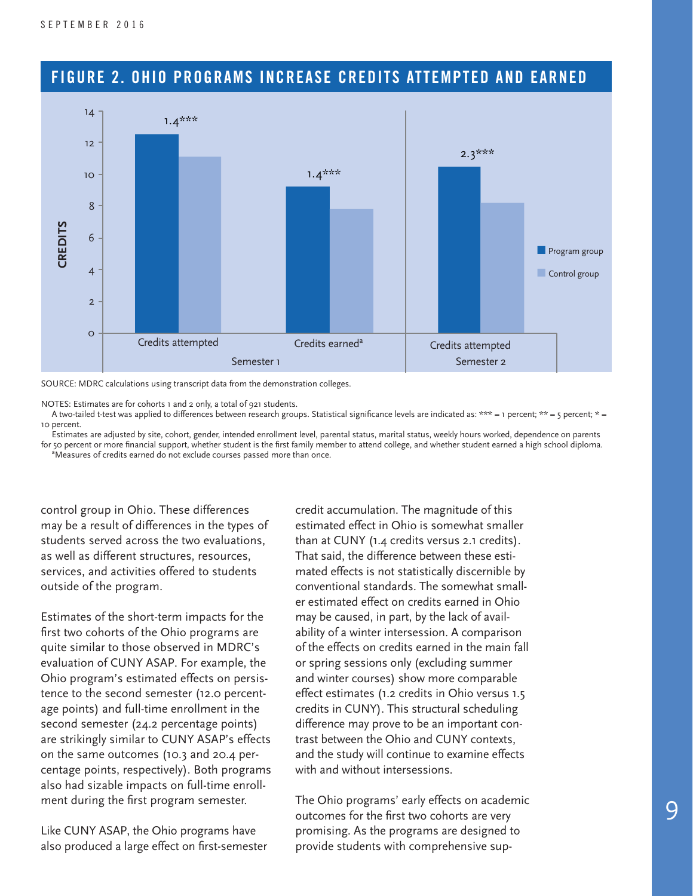

# **FIGURE 2. OHIO PROGRAMS INCREASE CREDITS ATTEMPTED AND EARNED**

SOURCE: MDRC calculations using transcript data from the demonstration colleges.

NOTES: Estimates are for cohorts 1 and 2 only, a total of 921 students.

A two-tailed t-test was applied to differences between research groups. Statistical significance levels are indicated as: \*\*\* = 1 percent; \*\* = 5 percent; \* = 10 percent.

 Estimates are adjusted by site, cohort, gender, intended enrollment level, parental status, marital status, weekly hours worked, dependence on parents for 50 percent or more financial support, whether student is the first family member to attend college, and whether student earned a high school diploma. <sup>a</sup>Measures of credits earned do not exclude courses passed more than once.

control group in Ohio. These differences may be a result of differences in the types of students served across the two evaluations, as well as different structures, resources, services, and activities offered to students outside of the program.

Estimates of the short-term impacts for the first two cohorts of the Ohio programs are quite similar to those observed in MDRC's evaluation of CUNY ASAP. For example, the Ohio program's estimated effects on persistence to the second semester (12.0 percentage points) and full-time enrollment in the second semester (24.2 percentage points) are strikingly similar to CUNY ASAP's effects on the same outcomes (10.3 and 20.4 percentage points, respectively). Both programs also had sizable impacts on full-time enrollment during the first program semester.

Like CUNY ASAP, the Ohio programs have also produced a large effect on first-semester credit accumulation. The magnitude of this estimated effect in Ohio is somewhat smaller than at CUNY (1.4 credits versus 2.1 credits). That said, the difference between these estimated effects is not statistically discernible by conventional standards. The somewhat smaller estimated effect on credits earned in Ohio may be caused, in part, by the lack of availability of a winter intersession. A comparison of the effects on credits earned in the main fall or spring sessions only (excluding summer and winter courses) show more comparable effect estimates (1.2 credits in Ohio versus 1.5 credits in CUNY). This structural scheduling difference may prove to be an important contrast between the Ohio and CUNY contexts, and the study will continue to examine effects with and without intersessions.

The Ohio programs' early effects on academic outcomes for the first two cohorts are very promising. As the programs are designed to provide students with comprehensive sup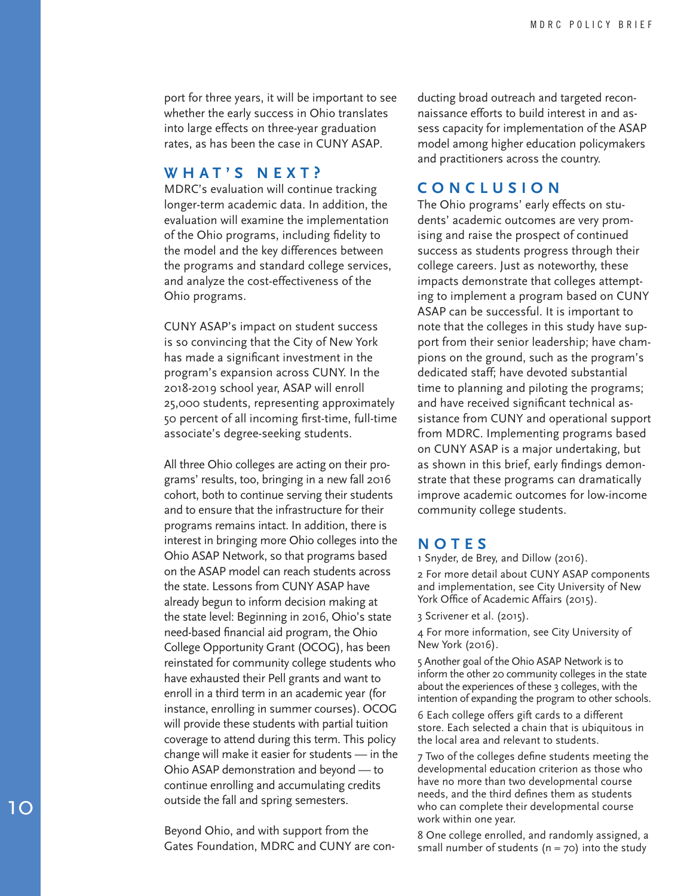port for three years, it will be important to see whether the early success in Ohio translates into large effects on three-year graduation rates, as has been the case in CUNY ASAP.

#### **WHAT'S NEXT?**

MDRC's evaluation will continue tracking longer-term academic data. In addition, the evaluation will examine the implementation of the Ohio programs, including fidelity to the model and the key differences between the programs and standard college services, and analyze the cost-effectiveness of the Ohio programs.

CUNY ASAP's impact on student success is so convincing that the City of New York has made a significant investment in the program's expansion across CUNY. In the 2018-2019 school year, ASAP will enroll 25,000 students, representing approximately 50 percent of all incoming first-time, full-time associate's degree-seeking students.

All three Ohio colleges are acting on their pro grams' results, too, bringing in a new fall 2016 cohort, both to continue serving their students and to ensure that the infrastructure for their programs remains intact. In addition, there is interest in bringing more Ohio colleges into the Ohio ASAP Network, so that programs based on the ASAP model can reach students across the state. Lessons from CUNY ASAP have already begun to inform decision making at the state level: Beginning in 2016, Ohio's state need-based financial aid program, the Ohio College Opportunity Grant (OCOG), has been reinstated for community college students who have exhausted their Pell grants and want to enroll in a third term in an academic year (for instance, enrolling in summer courses). OCOG will provide these students with partial tuition coverage to attend during this term. This policy change will make it easier for students — in the Ohio ASAP demonstration and beyond — to continue enrolling and accumulating credits outside the fall and spring semesters.

Beyond Ohio, and with support from the Gates Foundation, MDRC and CUNY are con - ducting broad outreach and targeted recon naissance efforts to build interest in and as sess capacity for implementation of the ASAP model among higher education policymakers and practitioners across the country.

#### **CONCLUSION**

The Ohio programs' early effects on stu dents' academic outcomes are very prom ising and raise the prospect of continued success as students progress through their college careers. Just as noteworthy, these impacts demonstrate that colleges attempt ing to implement a program based on CUNY ASAP can be successful. It is important to note that the colleges in this study have sup port from their senior leadership; have cham pions on the ground, such as the program's dedicated staff; have devoted substantial time to planning and piloting the programs; and have received significant technical as sistance from CUNY and operational support from MDRC. Implementing programs based on CUNY ASAP is a major undertaking, but as shown in this brief, early findings demon strate that these programs can dramatically improve academic outcomes for low-income community college students.

#### **NOTES**

1 Snyder, de Brey, and Dillow (2016).

2 For more detail about CUNY ASAP components and implementation, see City University of New York Office of Academic Affairs (2015).

3 Scrivener et al. (2015).

4 For more information, see City University of New York (2016).

5 Another goal of the Ohio ASAP Network is to inform the other 20 community colleges in the state about the experiences of these 3 colleges, with the intention of expanding the program to other schools.

6 Each college offers gift cards to a different store. Each selected a chain that is ubiquitous in the local area and relevant to students.

7 Two of the colleges define students meeting the developmental education criterion as those who have no more than two developmental course needs, and the third defines them as students who can complete their developmental course work within one year.

8 One college enrolled, and randomly assigned, a small number of students ( $n = 70$ ) into the study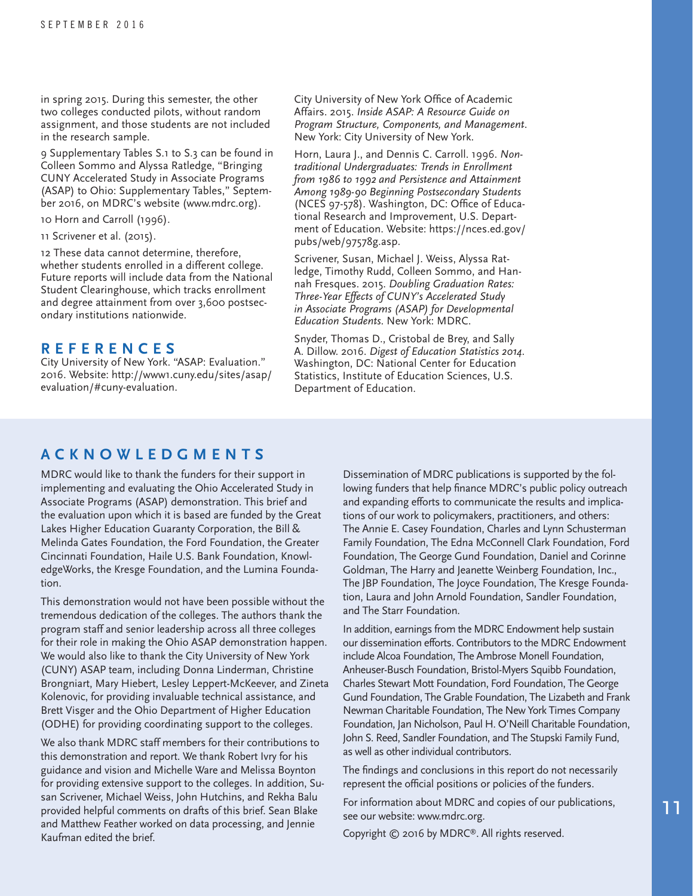in spring 2015. During this semester, the other two colleges conducted pilots, without random assignment, and those students are not included in the research sample.

9 Supplementary Tables S.1 to S.3 can be found in Colleen Sommo and Alyssa Ratledge, "Bringing CUNY Accelerated Study in Associate Programs (ASAP) to Ohio: Supplementary Tables," September 2016, on MDRC's website (www.mdrc.org).

10 Horn and Carroll (1996).

11 Scrivener et al. (2015).

12 These data cannot determine, therefore, whether students enrolled in a different college. Future reports will include data from the National Student Clearinghouse, which tracks enrollment and degree attainment from over 3,600 postsecondary institutions nationwide.

#### **REFERENCES**

City University of New York. "ASAP: Evaluation." 2016. Website: http://www1.cuny.edu/sites/asap/ evaluation/#cuny-evaluation.

City University of New York Office of Academic Affairs. 2015. *Inside ASAP: A Resource Guide on Program Structure, Components, and Management*. New York: City University of New York.

Horn, Laura J., and Dennis C. Carroll. 1996. *Nontraditional Undergraduates: Trends in Enrollment from 1986 to 1992 and Persistence and Attainment Among 1989-90 Beginning Postsecondary Students*  (NCES 97-578). Washington, DC: Office of Educational Research and Improvement, U.S. Department of Education. Website: https://nces.ed.gov/ pubs/web/97578g.asp.

Scrivener, Susan, Michael J. Weiss, Alyssa Ratledge, Timothy Rudd, Colleen Sommo, and Hannah Fresques. 2015. *Doubling Graduation Rates: Three-Year Effects of CUNY's Accelerated Study in Associate Programs (ASAP) for Developmental Education Students*. New York: MDRC.

Snyder, Thomas D., Cristobal de Brey, and Sally A. Dillow. 2016. *Digest of Education Statistics 2014*. Washington, DC: National Center for Education Statistics, Institute of Education Sciences, U.S. Department of Education.

#### **ACKNOWLEDGMENTS**

MDRC would like to thank the funders for their support in implementing and evaluating the Ohio Accelerated Study in Associate Programs (ASAP) demonstration. This brief and the evaluation upon which it is based are funded by the Great Lakes Higher Education Guaranty Corporation, the Bill & Melinda Gates Foundation, the Ford Foundation, the Greater Cincinnati Foundation, Haile U.S. Bank Foundation, KnowledgeWorks, the Kresge Foundation, and the Lumina Foundation.

This demonstration would not have been possible without the tremendous dedication of the colleges. The authors thank the program staff and senior leadership across all three colleges for their role in making the Ohio ASAP demonstration happen. We would also like to thank the City University of New York (CUNY) ASAP team, including Donna Linderman, Christine Brongniart, Mary Hiebert, Lesley Leppert-McKeever, and Zineta Kolenovic, for providing invaluable technical assistance, and Brett Visger and the Ohio Department of Higher Education (ODHE) for providing coordinating support to the colleges.

We also thank MDRC staff members for their contributions to this demonstration and report. We thank Robert Ivry for his guidance and vision and Michelle Ware and Melissa Boynton for providing extensive support to the colleges. In addition, Susan Scrivener, Michael Weiss, John Hutchins, and Rekha Balu provided helpful comments on drafts of this brief. Sean Blake and Matthew Feather worked on data processing, and Jennie Kaufman edited the brief.

Dissemination of MDRC publications is supported by the following funders that help finance MDRC's public policy outreach and expanding efforts to communicate the results and implications of our work to policymakers, practitioners, and others: The Annie E. Casey Foundation, Charles and Lynn Schusterman Family Foundation, The Edna McConnell Clark Foundation, Ford Foundation, The George Gund Foundation, Daniel and Corinne Goldman, The Harry and Jeanette Weinberg Foundation, Inc., The JBP Foundation, The Joyce Foundation, The Kresge Foundation, Laura and John Arnold Foundation, Sandler Foundation, and The Starr Foundation.

In addition, earnings from the MDRC Endowment help sustain our dissemination efforts. Contributors to the MDRC Endowment include Alcoa Foundation, The Ambrose Monell Foundation, Anheuser-Busch Foundation, Bristol-Myers Squibb Foundation, Charles Stewart Mott Foundation, Ford Foundation, The George Gund Foundation, The Grable Foundation, The Lizabeth and Frank Newman Charitable Foundation, The New York Times Company Foundation, Jan Nicholson, Paul H. O'Neill Charitable Foundation, John S. Reed, Sandler Foundation, and The Stupski Family Fund, as well as other individual contributors.

The findings and conclusions in this report do not necessarily represent the official positions or policies of the funders.

For information about MDRC and copies of our publications, see our website: www.mdrc.org.

Copyright © 2016 by MDRC®. All rights reserved.